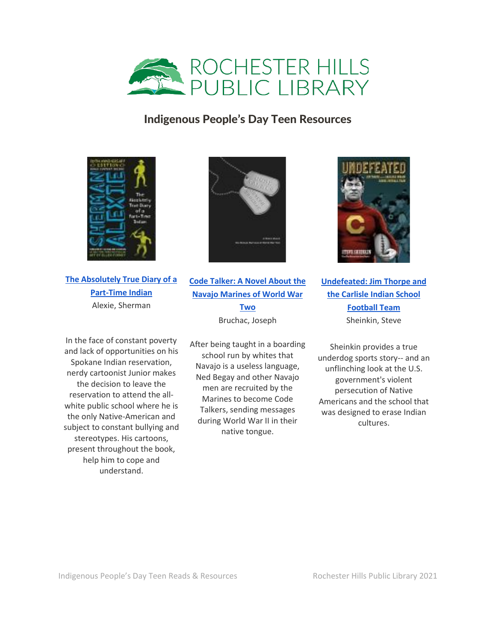

## Indigenous People's Day Teen Resources



**[The Absolutely True Diary of a](https://catalog.rhpl.org/polaris/search/searchresults.aspx?ctx=1.1033.0.0.8&type=Keyword&term=The%20Absolutely%20True%20Diary%20of%20a%20Part-Time%20Indian&by=KW&sort=RELEVANCE&limit=TOM=*&query=&page=0&searchid=16)  [Part-Time Indian](https://catalog.rhpl.org/polaris/search/searchresults.aspx?ctx=1.1033.0.0.8&type=Keyword&term=The%20Absolutely%20True%20Diary%20of%20a%20Part-Time%20Indian&by=KW&sort=RELEVANCE&limit=TOM=*&query=&page=0&searchid=16)** Alexie, Sherman

In the face of constant poverty and lack of opportunities on his Spokane Indian reservation, nerdy cartoonist Junior makes the decision to leave the reservation to attend the allwhite public school where he is the only Native-American and subject to constant bullying and stereotypes. His cartoons, present throughout the book, help him to cope and understand.



**[Code Talker: A Novel About the](https://catalog.rhpl.org/polaris/search/searchresults.aspx?ctx=1.1033.0.0.8&type=Keyword&term=Code%20Talker:%20a%20novel%20about%20the%20Navajo%20Marines%20of%20World%20War%20Two&by=KW&sort=RELEVANCE&limit=TOM=*&query=&page=0&searchid=17)  [Navajo Marines of World War](https://catalog.rhpl.org/polaris/search/searchresults.aspx?ctx=1.1033.0.0.8&type=Keyword&term=Code%20Talker:%20a%20novel%20about%20the%20Navajo%20Marines%20of%20World%20War%20Two&by=KW&sort=RELEVANCE&limit=TOM=*&query=&page=0&searchid=17)  [Two](https://catalog.rhpl.org/polaris/search/searchresults.aspx?ctx=1.1033.0.0.8&type=Keyword&term=Code%20Talker:%20a%20novel%20about%20the%20Navajo%20Marines%20of%20World%20War%20Two&by=KW&sort=RELEVANCE&limit=TOM=*&query=&page=0&searchid=17)** Bruchac, Joseph

After being taught in a boarding school run by whites that Navajo is a useless language, Ned Begay and other Navajo men are recruited by the Marines to become Code Talkers, sending messages during World War II in their native tongue.



**[Undefeated: Jim Thorpe and](https://catalog.rhpl.org/polaris/search/searchresults.aspx?ctx=1.1033.0.0.8&type=Keyword&term=Undefeated:%20Jim%20Thorpe%20and%20the%20Carlisle%20Indian%20School%20Football%20Team&by=KW&sort=RELEVANCE&limit=TOM=*&query=&page=0&searchid=18)  [the Carlisle Indian School](https://catalog.rhpl.org/polaris/search/searchresults.aspx?ctx=1.1033.0.0.8&type=Keyword&term=Undefeated:%20Jim%20Thorpe%20and%20the%20Carlisle%20Indian%20School%20Football%20Team&by=KW&sort=RELEVANCE&limit=TOM=*&query=&page=0&searchid=18)  [Football Team](https://catalog.rhpl.org/polaris/search/searchresults.aspx?ctx=1.1033.0.0.8&type=Keyword&term=Undefeated:%20Jim%20Thorpe%20and%20the%20Carlisle%20Indian%20School%20Football%20Team&by=KW&sort=RELEVANCE&limit=TOM=*&query=&page=0&searchid=18)**  Sheinkin, Steve

Sheinkin provides a true underdog sports story-- and an unflinching look at the U.S. government's violent persecution of Native Americans and the school that was designed to erase Indian cultures.

Indigenous People's Day Teen Reads & Resources Rochester Hills Public Library 2021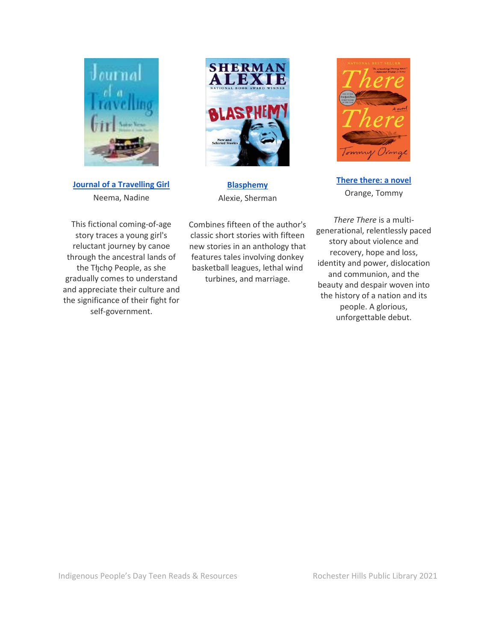

**[Journal of a Travelling Girl](https://catalog.rhpl.org/polaris/search/searchresults.aspx?ctx=1.1033.0.0.8&type=Keyword&term=Journal%20of%20a%20Travelling%20Girl&by=KW&sort=RELEVANCE&limit=TOM=*&query=&page=0&searchid=19)**  Neema, Nadine

This fictional coming-of-age story traces a young girl's reluctant journey by canoe through the ancestral lands of the Tłįcho People, as she gradually comes to understand and appreciate their culture and the significance of their fight for self-government.



**[Blasphemy](https://catalog.rhpl.org/polaris/search/title.aspx?ctx=1.1033.0.0.8&pos=2&cn=377583)**  Alexie, Sherman

Combines fifteen of the author's classic short stories with fifteen new stories in an anthology that features tales involving donkey basketball leagues, lethal wind turbines, and marriage.



**[There there: a novel](https://catalog.rhpl.org/polaris/search/title.aspx?ctx=1.1033.0.0.8&pos=8&cn=621785)** Orange, Tommy

*There There* is a multigenerational, relentlessly paced story about violence and recovery, hope and loss, identity and power, dislocation and communion, and the beauty and despair woven into the history of a nation and its people. A glorious, unforgettable debut.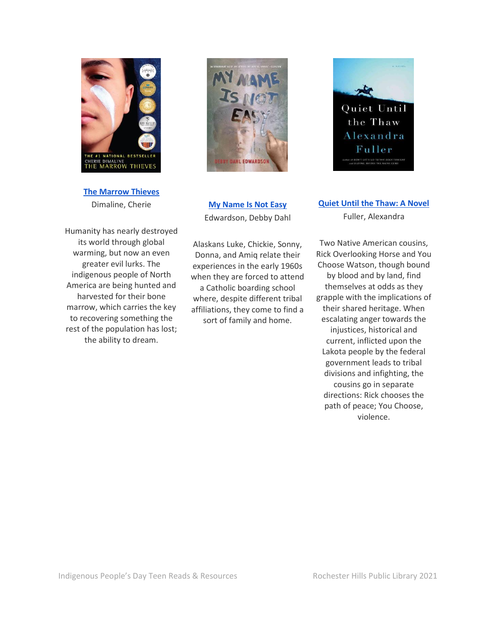

**[The Marrow Thieves](https://catalog.rhpl.org/polaris/search/searchresults.aspx?ctx=1.1033.0.0.8&type=Keyword&term=The%20Marrow%20Thieves&by=TI&sort=RELEVANCE&limit=TOM=*&query=&page=0&searchid=23)** Dimaline, Cherie

Humanity has nearly destroyed its world through global warming, but now an even greater evil lurks. The indigenous people of North America are being hunted and harvested for their bone marrow, which carries the key to recovering something the rest of the population has lost; the ability to dream.



**[My Name Is Not Easy](https://catalog.rhpl.org/polaris/search/searchresults.aspx?ctx=1.1033.0.0.8&type=Keyword&term=My%20Name%20Is%20Not%20Easy&by=TI&sort=RELEVANCE&limit=TOM=*&query=&page=0&searchid=24)** Edwardson, Debby Dahl

Alaskans Luke, Chickie, Sonny, Donna, and Amiq relate their experiences in the early 1960s when they are forced to attend a Catholic boarding school where, despite different tribal affiliations, they come to find a sort of family and home.



**[Quiet Until the Thaw: A Novel](https://catalog.rhpl.org/polaris/search/searchresults.aspx?ctx=1.1033.0.0.8&type=Keyword&term=Quiet%20Until%20the%20Thaw:%20A%20Novel&by=KW&sort=RELEVANCE&limit=TOM=*&query=&page=0&searchid=25)** Fuller, Alexandra

Two Native American cousins, Rick Overlooking Horse and You Choose Watson, though bound by blood and by land, find themselves at odds as they grapple with the implications of their shared heritage. When escalating anger towards the injustices, historical and current, inflicted upon the Lakota people by the federal government leads to tribal divisions and infighting, the cousins go in separate directions: Rick chooses the path of peace; You Choose, violence.